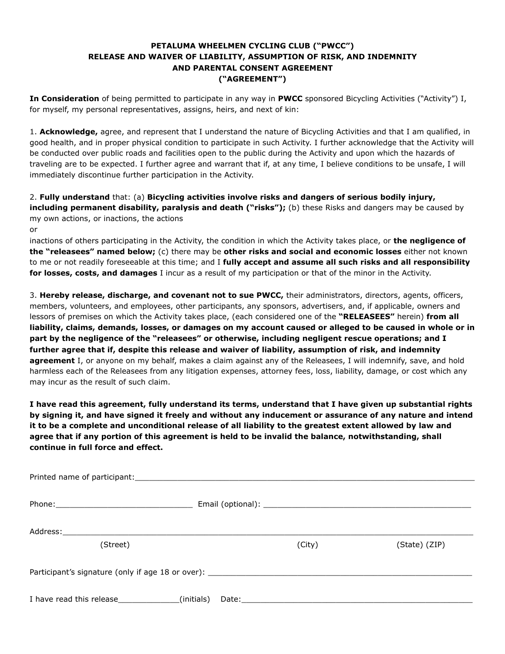## **PETALUMA WHEELMEN CYCLING CLUB ("PWCC") RELEASE AND WAIVER OF LIABILITY, ASSUMPTION OF RISK, AND INDEMNITY AND PARENTAL CONSENT AGREEMENT ("AGREEMENT")**

**In Consideration** of being permitted to participate in any way in PWCC sponsored Bicycling Activities ("Activity") I, for myself, my personal representatives, assigns, heirs, and next of kin:

1. **Acknowledge,** agree, and represent that I understand the nature of Bicycling Activities and that I am qualified, in good health, and in proper physical condition to participate in such Activity. I further acknowledge that the Activity will be conducted over public roads and facilities open to the public during the Activity and upon which the hazards of traveling are to be expected. I further agree and warrant that if, at any time, I believe conditions to be unsafe, I will immediately discontinue further participation in the Activity.

2. **Fully understand** that: (a) **Bicycling activities involve risks and dangers of serious bodily injury, including permanent disability, paralysis and death ("risks");** (b) these Risks and dangers may be caused by my own actions, or inactions, the actions

or

inactions of others participating in the Activity, the condition in which the Activity takes place, or **the negligence of the "releasees" named below;** (c) there may be **other risks and social and economic losses** either not known to me or not readily foreseeable at this time; and I **fully accept and assume all such risks and all responsibility for losses, costs, and damages** I incur as a result of my participation or that of the minor in the Activity.

3. **Hereby release, discharge, and covenant not to sue PWCC,** their administrators, directors, agents, officers, members, volunteers, and employees, other participants, any sponsors, advertisers, and, if applicable, owners and lessors of premises on which the Activity takes place, (each considered one of the **"RELEASEES"** herein) **from all liability, claims, demands, losses, or damages on my account caused or alleged to be caused in whole or in part by the negligence of the "releasees" or otherwise, including negligent rescue operations; and I further agree that if, despite this release and waiver of liability, assumption of risk, and indemnity agreement** I, or anyone on my behalf, makes a claim against any of the Releasees, I will indemnify, save, and hold harmless each of the Releasees from any litigation expenses, attorney fees, loss, liability, damage, or cost which any may incur as the result of such claim.

**I have read this agreement, fully understand its terms, understand that I have given up substantial rights by signing it, and have signed it freely and without any inducement or assurance of any nature and intend it to be a complete and unconditional release of all liability to the greatest extent allowed by law and agree that if any portion of this agreement is held to be invalid the balance, notwithstanding, shall continue in full force and effect.** 

| (Street)                                           |  | (City) | (State) (ZIP) |  |
|----------------------------------------------------|--|--------|---------------|--|
|                                                    |  |        |               |  |
|                                                    |  |        |               |  |
|                                                    |  |        |               |  |
| I have read this release________________(initials) |  |        |               |  |
|                                                    |  |        |               |  |